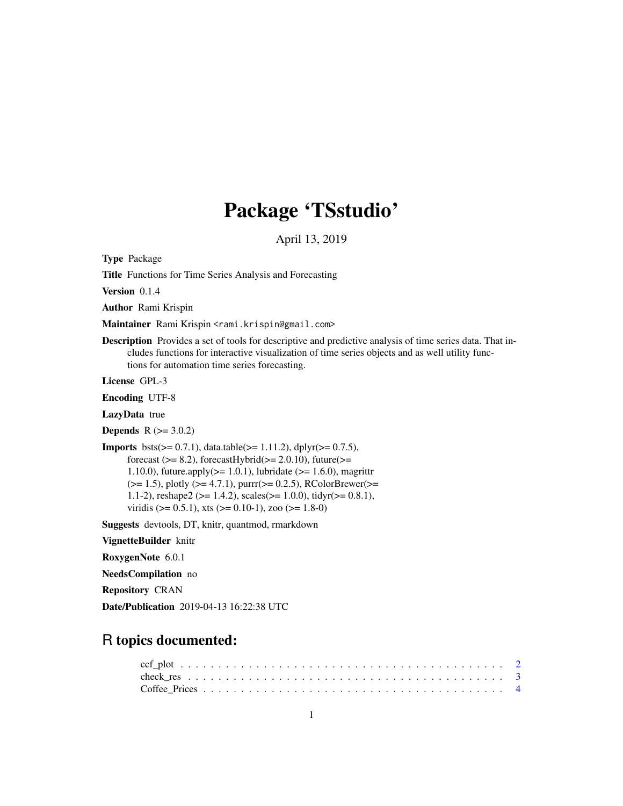# Package 'TSstudio'

April 13, 2019

<span id="page-0-0"></span>Type Package

Title Functions for Time Series Analysis and Forecasting

Version 0.1.4

Author Rami Krispin

Maintainer Rami Krispin <rami.krispin@gmail.com>

Description Provides a set of tools for descriptive and predictive analysis of time series data. That includes functions for interactive visualization of time series objects and as well utility functions for automation time series forecasting.

License GPL-3

Encoding UTF-8

LazyData true

**Depends** R  $(>= 3.0.2)$ 

```
Imports bsts(>= 0.7.1), data.table(>= 1.11.2), dplyr(>= 0.7.5),
      forecast (>= 8.2), forecastHybrid(>= 2.0.10), future(>=1.10.0), future.apply(>= 1.0.1), lubridate (>= 1.6.0), magrittr
      (>= 1.5), plotly (>= 4.7.1), purrr(>= 0.2.5), RColorBrewer(>= 1.5)1.1-2), reshape2 (> = 1.4.2), scales(> = 1.0.0), tidyr(> = 0.8.1),
      viridis (> = 0.5.1), xts (> = 0.10-1), zoo (> = 1.8-0)
```
Suggests devtools, DT, knitr, quantmod, rmarkdown

VignetteBuilder knitr

RoxygenNote 6.0.1

NeedsCompilation no

Repository CRAN

Date/Publication 2019-04-13 16:22:38 UTC

# R topics documented: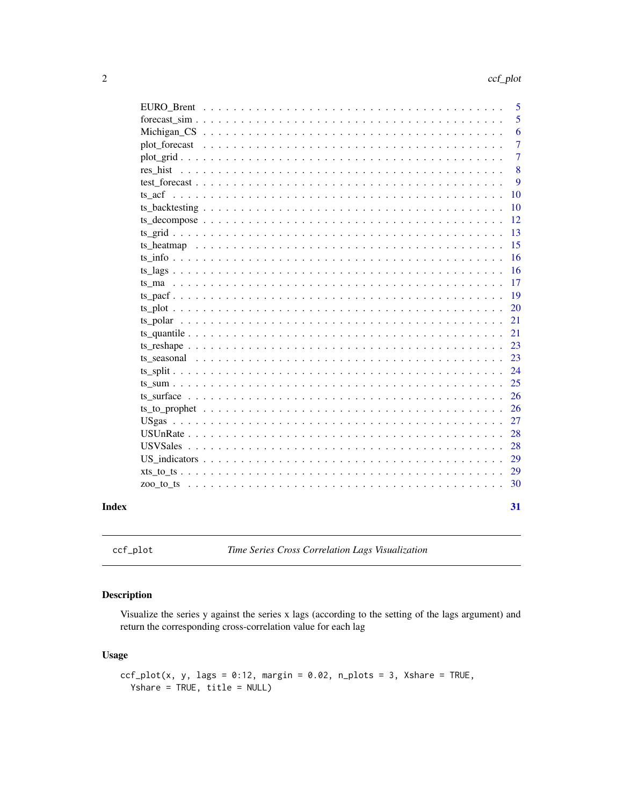<span id="page-1-0"></span>

|  |  | 5  |
|--|--|----|
|  |  | 5  |
|  |  | 6  |
|  |  | 7  |
|  |  | 7  |
|  |  | 8  |
|  |  | 9  |
|  |  | 10 |
|  |  | 10 |
|  |  | 12 |
|  |  | 13 |
|  |  | 15 |
|  |  | 16 |
|  |  | 16 |
|  |  | 17 |
|  |  | 19 |
|  |  | 20 |
|  |  | 21 |
|  |  | 21 |
|  |  | 23 |
|  |  | 23 |
|  |  | 24 |
|  |  | 25 |
|  |  | 26 |
|  |  | 26 |
|  |  | 27 |
|  |  | 28 |
|  |  | 28 |
|  |  | 29 |
|  |  | 29 |
|  |  | 30 |
|  |  | 31 |
|  |  |    |

ccf\_plot *Time Series Cross Correlation Lags Visualization*

# Description

Visualize the series y against the series x lags (according to the setting of the lags argument) and return the corresponding cross-correlation value for each lag

# Usage

```
ccf_{plot}(x, y, lags = 0.12, margin = 0.02, n_{plots} = 3, Xshare = TRUE,Yshare = TRUE, title = NULL)
```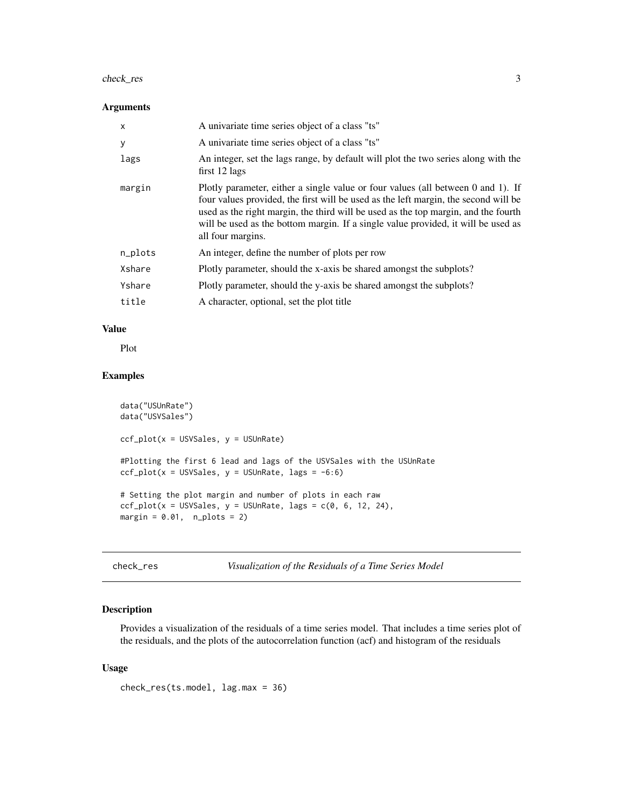#### <span id="page-2-0"></span>check\_res 3

#### Arguments

| $\mathsf{x}$ | A univariate time series object of a class "ts"                                                                                                                                                                                                                                                                                                                         |
|--------------|-------------------------------------------------------------------------------------------------------------------------------------------------------------------------------------------------------------------------------------------------------------------------------------------------------------------------------------------------------------------------|
| y            | A univariate time series object of a class "ts"                                                                                                                                                                                                                                                                                                                         |
| lags         | An integer, set the lags range, by default will plot the two series along with the<br>first 12 lags                                                                                                                                                                                                                                                                     |
| margin       | Plotly parameter, either a single value or four values (all between 0 and 1). If<br>four values provided, the first will be used as the left margin, the second will be<br>used as the right margin, the third will be used as the top margin, and the fourth<br>will be used as the bottom margin. If a single value provided, it will be used as<br>all four margins. |
| n_plots      | An integer, define the number of plots per row                                                                                                                                                                                                                                                                                                                          |
| Xshare       | Plotly parameter, should the x-axis be shared amongst the subplots?                                                                                                                                                                                                                                                                                                     |
| Yshare       | Plotly parameter, should the y-axis be shared amongst the subplots?                                                                                                                                                                                                                                                                                                     |
| title        | A character, optional, set the plot title                                                                                                                                                                                                                                                                                                                               |

#### Value

Plot

# Examples

```
data("USUnRate")
data("USVSales")
ccf_plot(x = USVSales, y = USUnRate)
#Plotting the first 6 lead and lags of the USVSales with the USUnRate
ccf_{\text{plot}}(x = \text{USV} \text{Sales}, y = \text{USUnRate}, \text{lags} = -6:6)# Setting the plot margin and number of plots in each raw
ccf_{plot}(x = USV Sales, y = USUnRate, lags = c(0, 6, 12, 24),margin = 0.01, n_plots = 2)
```
check\_res *Visualization of the Residuals of a Time Series Model*

#### Description

Provides a visualization of the residuals of a time series model. That includes a time series plot of the residuals, and the plots of the autocorrelation function (acf) and histogram of the residuals

#### Usage

check\_res(ts.model, lag.max = 36)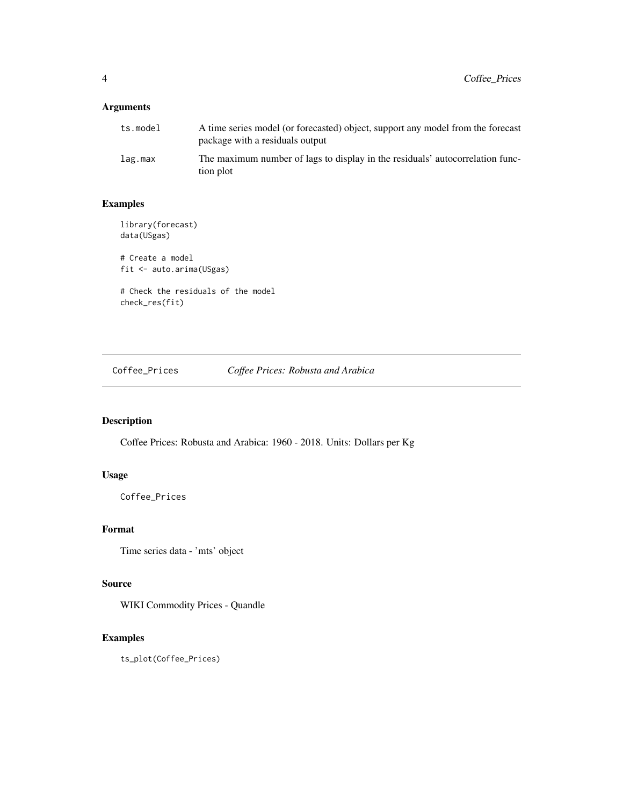# <span id="page-3-0"></span>Arguments

| ts.model | A time series model (or forecasted) object, support any model from the forecast<br>package with a residuals output |
|----------|--------------------------------------------------------------------------------------------------------------------|
| lag.max  | The maximum number of lags to display in the residuals' autocorrelation func-<br>tion plot                         |

# Examples

library(forecast) data(USgas)

```
# Create a model
fit <- auto.arima(USgas)
```
# Check the residuals of the model check\_res(fit)

Coffee\_Prices *Coffee Prices: Robusta and Arabica*

# Description

Coffee Prices: Robusta and Arabica: 1960 - 2018. Units: Dollars per Kg

# Usage

```
Coffee_Prices
```
#### Format

Time series data - 'mts' object

# Source

WIKI Commodity Prices - Quandle

# Examples

ts\_plot(Coffee\_Prices)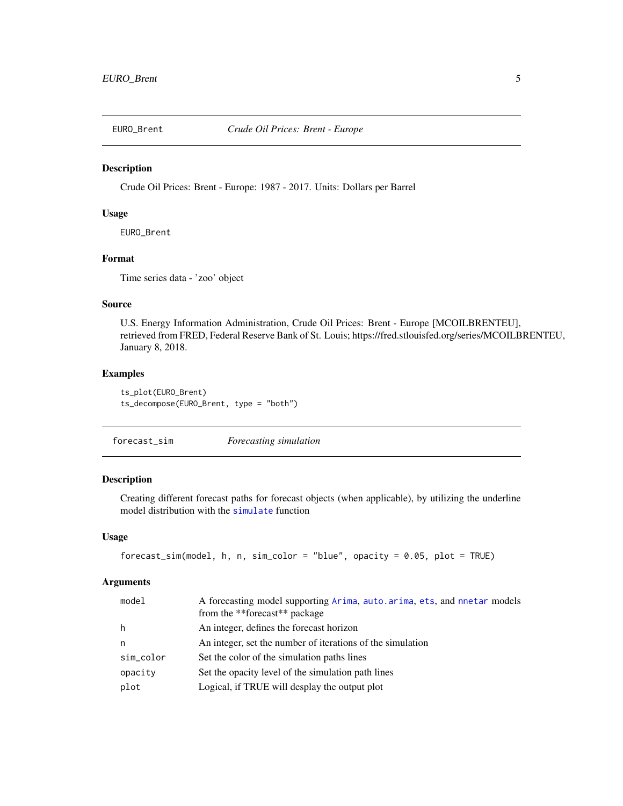<span id="page-4-0"></span>

#### Description

Crude Oil Prices: Brent - Europe: 1987 - 2017. Units: Dollars per Barrel

# Usage

EURO\_Brent

#### Format

Time series data - 'zoo' object

#### Source

U.S. Energy Information Administration, Crude Oil Prices: Brent - Europe [MCOILBRENTEU], retrieved from FRED, Federal Reserve Bank of St. Louis; https://fred.stlouisfed.org/series/MCOILBRENTEU, January 8, 2018.

#### Examples

ts\_plot(EURO\_Brent) ts\_decompose(EURO\_Brent, type = "both")

| forecast_sim | Forecasting simulation |  |
|--------------|------------------------|--|
|--------------|------------------------|--|

# Description

Creating different forecast paths for forecast objects (when applicable), by utilizing the underline model distribution with the [simulate](#page-0-0) function

#### Usage

```
forecast_sim(model, h, n, sim_color = "blue", opacity = 0.05, plot = TRUE)
```
# Arguments

| model     | A forecasting model supporting Arima, auto. arima, ets, and nnetar models<br>from the **forecast** package |
|-----------|------------------------------------------------------------------------------------------------------------|
| h         | An integer, defines the forecast horizon                                                                   |
| n         | An integer, set the number of iterations of the simulation                                                 |
| sim_color | Set the color of the simulation paths lines                                                                |
| opacity   | Set the opacity level of the simulation path lines                                                         |
| plot      | Logical, if TRUE will desplay the output plot                                                              |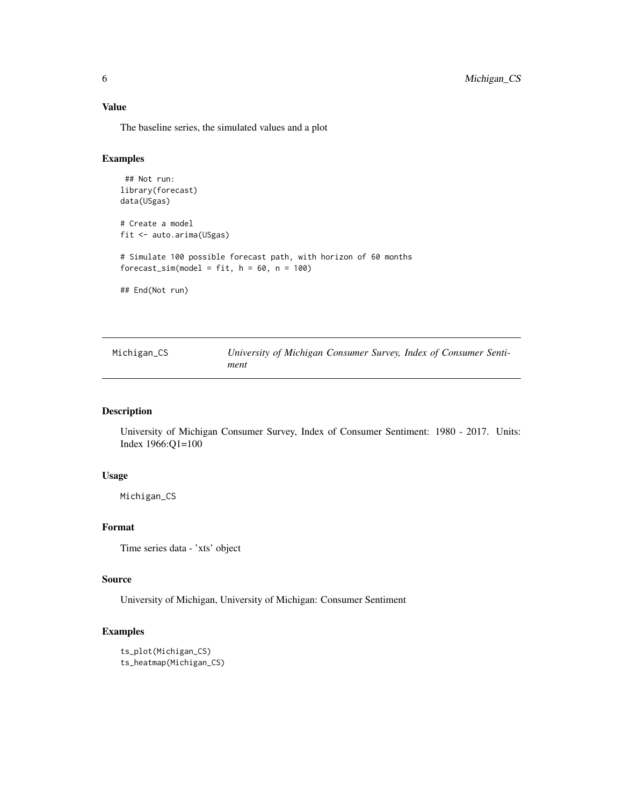<span id="page-5-0"></span>The baseline series, the simulated values and a plot

#### Examples

```
## Not run:
library(forecast)
data(USgas)
# Create a model
fit <- auto.arima(USgas)
# Simulate 100 possible forecast path, with horizon of 60 months
forecast\_sim(model = fit, h = 60, n = 100)## End(Not run)
```

| Michigan_CS | University of Michigan Consumer Survey, Index of Consumer Senti- |  |
|-------------|------------------------------------------------------------------|--|
|             | ment                                                             |  |

# Description

University of Michigan Consumer Survey, Index of Consumer Sentiment: 1980 - 2017. Units: Index 1966:Q1=100

#### Usage

Michigan\_CS

#### Format

Time series data - 'xts' object

#### Source

University of Michigan, University of Michigan: Consumer Sentiment

# Examples

```
ts_plot(Michigan_CS)
ts_heatmap(Michigan_CS)
```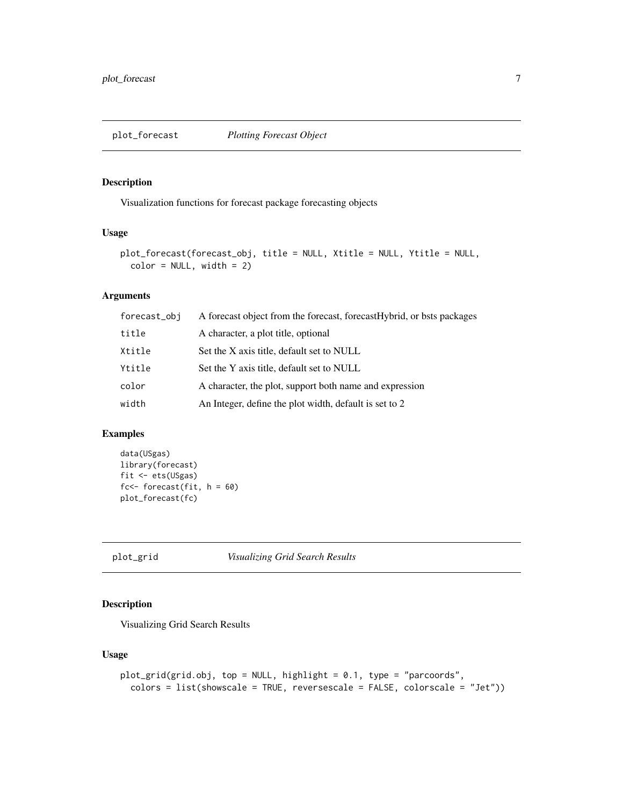<span id="page-6-0"></span>

# Description

Visualization functions for forecast package forecasting objects

#### Usage

```
plot_forecast(forecast_obj, title = NULL, Xtitle = NULL, Ytitle = NULL,
 color = NULL, width = 2)
```
# Arguments

| forecast_obj | A forecast object from the forecast, forecastHybrid, or bsts packages |
|--------------|-----------------------------------------------------------------------|
| title        | A character, a plot title, optional                                   |
| Xtitle       | Set the X axis title, default set to NULL                             |
| Ytitle       | Set the Y axis title, default set to NULL                             |
| color        | A character, the plot, support both name and expression               |
| width        | An Integer, define the plot width, default is set to 2                |

# Examples

```
data(USgas)
library(forecast)
fit <- ets(USgas)
fc<- forecast(fit, h = 60)
plot_forecast(fc)
```
plot\_grid *Visualizing Grid Search Results*

# Description

Visualizing Grid Search Results

#### Usage

```
plot_grid(grid.obj, top = NULL, highlight = 0.1, type = "parcoords",
  colors = list(showscale = TRUE, reversescale = FALSE, colorscale = "Jet"))
```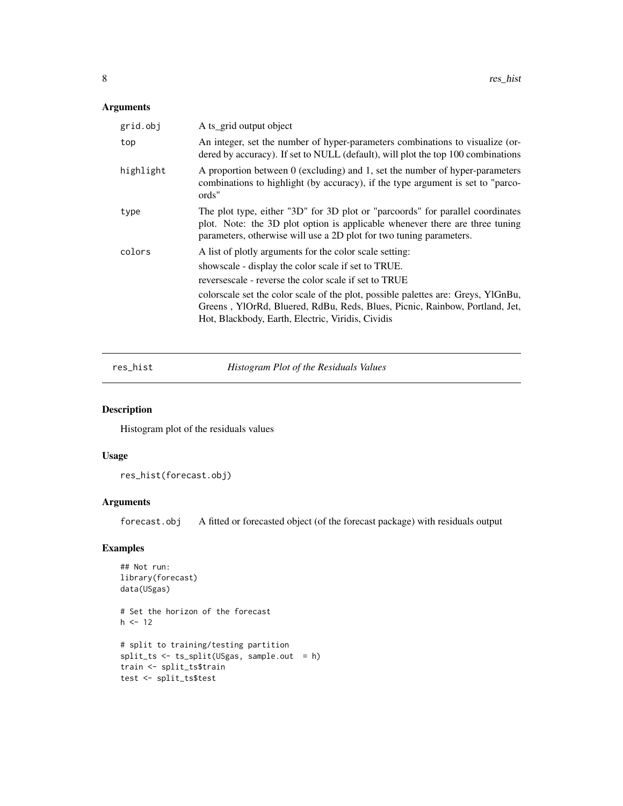# <span id="page-7-0"></span>Arguments

| grid.obj  | A ts_grid output object                                                                                                                                                                                                                                                                                                                                                                          |
|-----------|--------------------------------------------------------------------------------------------------------------------------------------------------------------------------------------------------------------------------------------------------------------------------------------------------------------------------------------------------------------------------------------------------|
| top       | An integer, set the number of hyper-parameters combinations to visualize (or-<br>dered by accuracy). If set to NULL (default), will plot the top 100 combinations                                                                                                                                                                                                                                |
| highlight | A proportion between 0 (excluding) and 1, set the number of hyper-parameters<br>combinations to highlight (by accuracy), if the type argument is set to "parco-<br>ords"                                                                                                                                                                                                                         |
| type      | The plot type, either "3D" for 3D plot or "parcoords" for parallel coordinates<br>plot. Note: the 3D plot option is applicable whenever there are three tuning<br>parameters, otherwise will use a 2D plot for two tuning parameters.                                                                                                                                                            |
| colors    | A list of plotly arguments for the color scale setting:<br>showscale - display the color scale if set to TRUE.<br>reversescale - reverse the color scale if set to TRUE<br>colorscale set the color scale of the plot, possible palettes are: Greys, YlGnBu,<br>Greens, YlOrRd, Bluered, RdBu, Reds, Blues, Picnic, Rainbow, Portland, Jet,<br>Hot, Blackbody, Earth, Electric, Viridis, Cividis |

res\_hist *Histogram Plot of the Residuals Values*

# Description

Histogram plot of the residuals values

# Usage

```
res_hist(forecast.obj)
```
# Arguments

forecast.obj A fitted or forecasted object (of the forecast package) with residuals output

# Examples

```
## Not run:
library(forecast)
data(USgas)
```
# Set the horizon of the forecast  $h$  <- 12

```
# split to training/testing partition
split_ts <- ts_split(USgas, sample.out = h)
train <- split_ts$train
test <- split_ts$test
```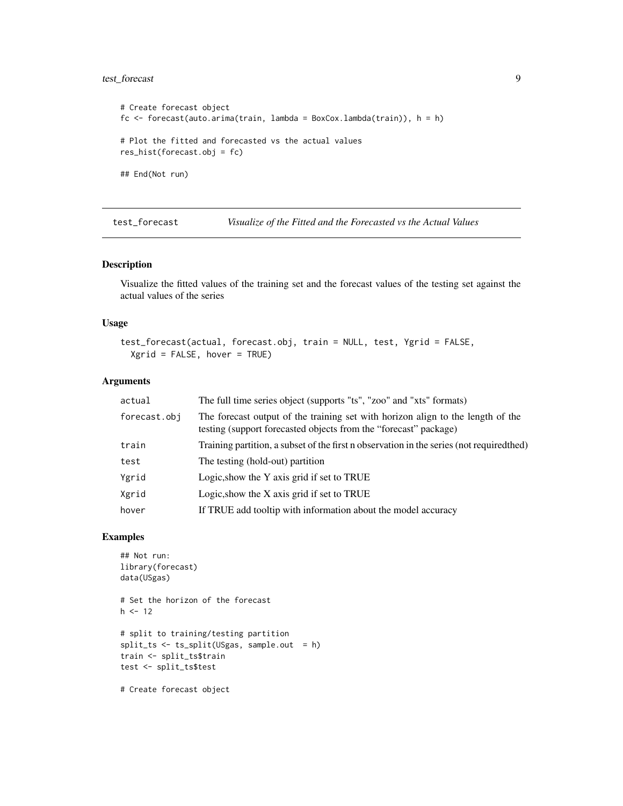# <span id="page-8-0"></span>test\_forecast 9

```
# Create forecast object
fc \leq forecast(auto.arima(train, lambda = BoxCox.lambda(train)), h = h)
# Plot the fitted and forecasted vs the actual values
res_hist(forecast.obj = fc)
## End(Not run)
```
test\_forecast *Visualize of the Fitted and the Forecasted vs the Actual Values*

#### Description

Visualize the fitted values of the training set and the forecast values of the testing set against the actual values of the series

#### Usage

```
test_forecast(actual, forecast.obj, train = NULL, test, Ygrid = FALSE,
 Xgrid = FALSE, hover = TRUE)
```
#### Arguments

| actual       | The full time series object (supports "ts", "zoo" and "xts" formats)                                                                                |
|--------------|-----------------------------------------------------------------------------------------------------------------------------------------------------|
| forecast.obj | The forecast output of the training set with horizon align to the length of the<br>testing (support forecasted objects from the "forecast" package) |
| train        | Training partition, a subset of the first n observation in the series (not required thed)                                                           |
| test         | The testing (hold-out) partition                                                                                                                    |
| Ygrid        | Logic, show the Y axis grid if set to TRUE                                                                                                          |
| Xgrid        | Logic, show the X axis grid if set to TRUE                                                                                                          |
| hover        | If TRUE add tooltip with information about the model accuracy                                                                                       |

# Examples

```
## Not run:
library(forecast)
data(USgas)
# Set the horizon of the forecast
h < -12# split to training/testing partition
split_ts <- ts_split(USgas, sample.out = h)
train <- split_ts$train
test <- split_ts$test
```
# Create forecast object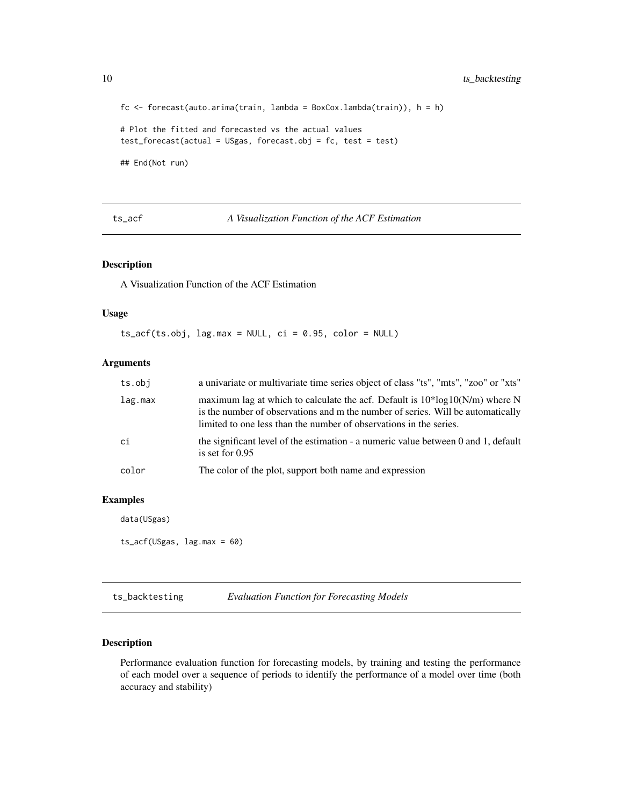<span id="page-9-0"></span>10 ts\_backtesting

```
fc \leq forecast(auto.arima(train, lambda = BoxCox.lambda(train)), h = h)
# Plot the fitted and forecasted vs the actual values
test_forecast(actual = USgas, forecast.obj = fc, test = test)## End(Not run)
```
ts\_acf *A Visualization Function of the ACF Estimation*

#### Description

A Visualization Function of the ACF Estimation

#### Usage

 $ts_act(ts.obj, lag.max = NULL, ci = 0.95, color = NULL)$ 

# Arguments

| ts.obj  | a univariate or multivariate time series object of class "ts", "mts", "zoo" or "xts"                                                                                                                                                   |
|---------|----------------------------------------------------------------------------------------------------------------------------------------------------------------------------------------------------------------------------------------|
| lag.max | maximum lag at which to calculate the acf. Default is $10*log10(N/m)$ where N<br>is the number of observations and m the number of series. Will be automatically<br>limited to one less than the number of observations in the series. |
| ci      | the significant level of the estimation - a numeric value between 0 and 1, default<br>is set for $0.95$                                                                                                                                |
| color   | The color of the plot, support both name and expression                                                                                                                                                                                |

#### Examples

data(USgas)

ts\_acf(USgas, lag.max = 60)

ts\_backtesting *Evaluation Function for Forecasting Models*

#### Description

Performance evaluation function for forecasting models, by training and testing the performance of each model over a sequence of periods to identify the performance of a model over time (both accuracy and stability)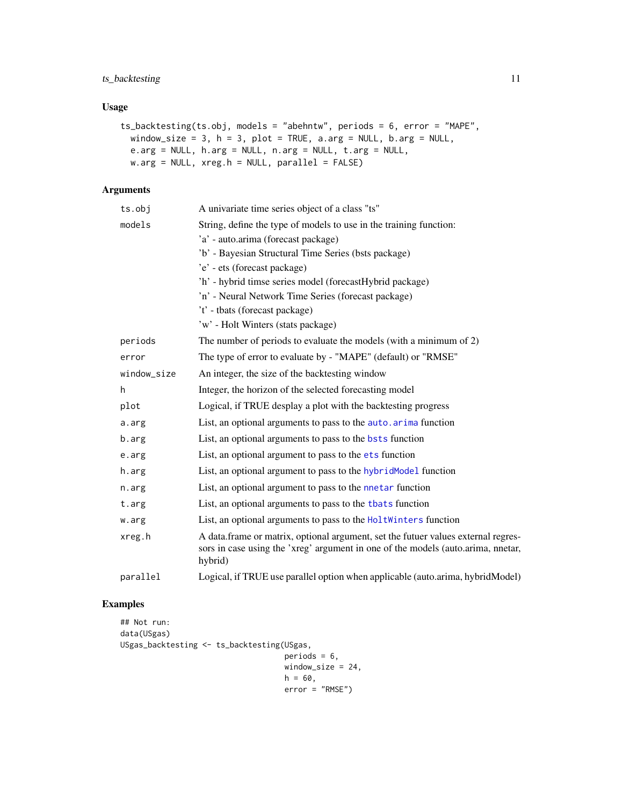# <span id="page-10-0"></span>ts\_backtesting 11

# Usage

```
ts_backtesting(ts.obj, models = "abehntw", periods = 6, error = "MAPE",
 window_size = 3, h = 3, plot = TRUE, a.arg = NULL, b.arg = NULL,
 e.arg = NULL, h.arg = NULL, n.arg = NULL, t.arg = NULL,
 w.arg = NULL, xreg.h = NULL, parallel = FALSE)
```
# Arguments

| ts.obj      | A univariate time series object of a class "ts"                                                                                                                                  |
|-------------|----------------------------------------------------------------------------------------------------------------------------------------------------------------------------------|
| models      | String, define the type of models to use in the training function:                                                                                                               |
|             | 'a' - auto.arima (forecast package)                                                                                                                                              |
|             | 'b' - Bayesian Structural Time Series (bsts package)                                                                                                                             |
|             | 'e' - ets (forecast package)                                                                                                                                                     |
|             | 'h' - hybrid timse series model (forecastHybrid package)                                                                                                                         |
|             | 'n' - Neural Network Time Series (forecast package)                                                                                                                              |
|             | 't' - tbats (forecast package)                                                                                                                                                   |
|             | 'w' - Holt Winters (stats package)                                                                                                                                               |
| periods     | The number of periods to evaluate the models (with a minimum of 2)                                                                                                               |
| error       | The type of error to evaluate by - "MAPE" (default) or "RMSE"                                                                                                                    |
| window_size | An integer, the size of the backtesting window                                                                                                                                   |
| h           | Integer, the horizon of the selected forecasting model                                                                                                                           |
| plot        | Logical, if TRUE desplay a plot with the backtesting progress                                                                                                                    |
| a.arg       | List, an optional arguments to pass to the auto. arima function                                                                                                                  |
| b.arg       | List, an optional arguments to pass to the <b>bsts</b> function                                                                                                                  |
| e.arg       | List, an optional argument to pass to the ets function                                                                                                                           |
| h.arg       | List, an optional argument to pass to the hybridModel function                                                                                                                   |
| n.arg       | List, an optional argument to pass to the nnetar function                                                                                                                        |
| t.arg       | List, an optional arguments to pass to the that's function                                                                                                                       |
| w.arg       | List, an optional arguments to pass to the Holt Winters function                                                                                                                 |
| xreg.h      | A data.frame or matrix, optional argument, set the futuer values external regres-<br>sors in case using the 'xreg' argument in one of the models (auto.arima, nnetar,<br>hybrid) |
| parallel    | Logical, if TRUE use parallel option when applicable (auto.arima, hybridModel)                                                                                                   |

# Examples

```
## Not run:
data(USgas)
USgas_backtesting <- ts_backtesting(USgas,
                                   periods = 6,
                                   window_size = 24,
                                   h = 60,error = "RMSE")
```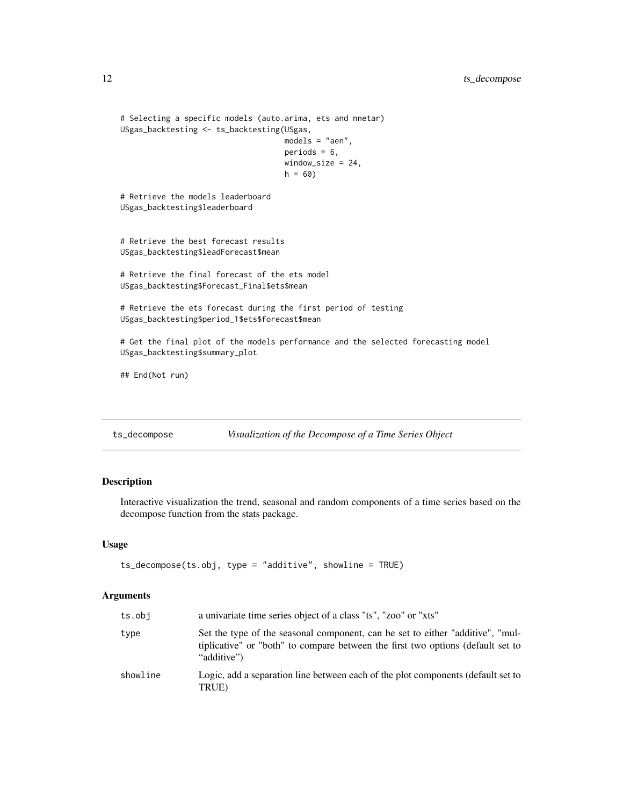```
# Selecting a specific models (auto.arima, ets and nnetar)
USgas_backtesting <- ts_backtesting(USgas,
                                    models = "aen",
                                    periods = 6,
                                    window_size = 24,
                                    h = 60# Retrieve the models leaderboard
USgas_backtesting$leaderboard
# Retrieve the best forecast results
USgas_backtesting$leadForecast$mean
# Retrieve the final forecast of the ets model
USgas_backtesting$Forecast_Final$ets$mean
# Retrieve the ets forecast during the first period of testing
USgas_backtesting$period_1$ets$forecast$mean
# Get the final plot of the models performance and the selected forecasting model
USgas_backtesting$summary_plot
## End(Not run)
```
ts\_decompose *Visualization of the Decompose of a Time Series Object*

# Description

Interactive visualization the trend, seasonal and random components of a time series based on the decompose function from the stats package.

#### Usage

```
ts_decompose(ts.obj, type = "additive", showline = TRUE)
```
#### Arguments

| ts.obj   | a univariate time series object of a class "ts", "zoo" or "xts"                                                                                                                  |
|----------|----------------------------------------------------------------------------------------------------------------------------------------------------------------------------------|
| type     | Set the type of the seasonal component, can be set to either "additive", "mul-<br>tiplicative" or "both" to compare between the first two options (default set to<br>"additive") |
| showline | Logic, add a separation line between each of the plot components (default set to<br>TRUE)                                                                                        |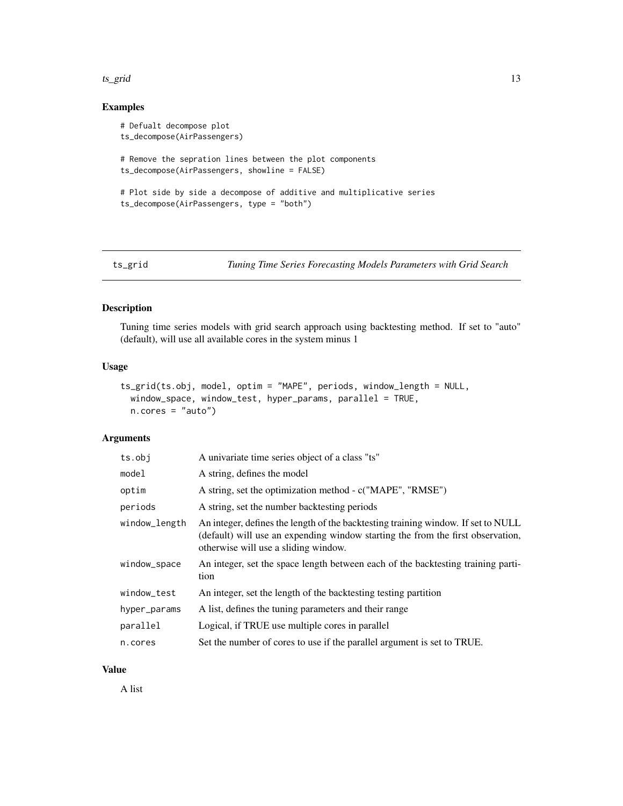#### <span id="page-12-0"></span>ts\_grid 13

# Examples

```
# Defualt decompose plot
ts_decompose(AirPassengers)
# Remove the sepration lines between the plot components
ts_decompose(AirPassengers, showline = FALSE)
# Plot side by side a decompose of additive and multiplicative series
ts_decompose(AirPassengers, type = "both")
```
ts\_grid *Tuning Time Series Forecasting Models Parameters with Grid Search*

#### Description

Tuning time series models with grid search approach using backtesting method. If set to "auto" (default), will use all available cores in the system minus 1

#### Usage

```
ts_grid(ts.obj, model, optim = "MAPE", periods, window_length = NULL,
 window_space, window_test, hyper_params, parallel = TRUE,
 n.cores = "auto")
```
# Arguments

| ts.obj        | A univariate time series object of a class "ts"                                                                                                                                                              |
|---------------|--------------------------------------------------------------------------------------------------------------------------------------------------------------------------------------------------------------|
| model         | A string, defines the model                                                                                                                                                                                  |
| optim         | A string, set the optimization method - c("MAPE", "RMSE")                                                                                                                                                    |
| periods       | A string, set the number backtesting periods                                                                                                                                                                 |
| window_length | An integer, defines the length of the backtesting training window. If set to NULL<br>(default) will use an expending window starting the from the first observation,<br>otherwise will use a sliding window. |
| window_space  | An integer, set the space length between each of the backtesting training parti-<br>tion                                                                                                                     |
| window_test   | An integer, set the length of the backtesting testing partition                                                                                                                                              |
| hyper_params  | A list, defines the tuning parameters and their range                                                                                                                                                        |
| parallel      | Logical, if TRUE use multiple cores in parallel                                                                                                                                                              |
| n.cores       | Set the number of cores to use if the parallel argument is set to TRUE.                                                                                                                                      |

#### Value

A list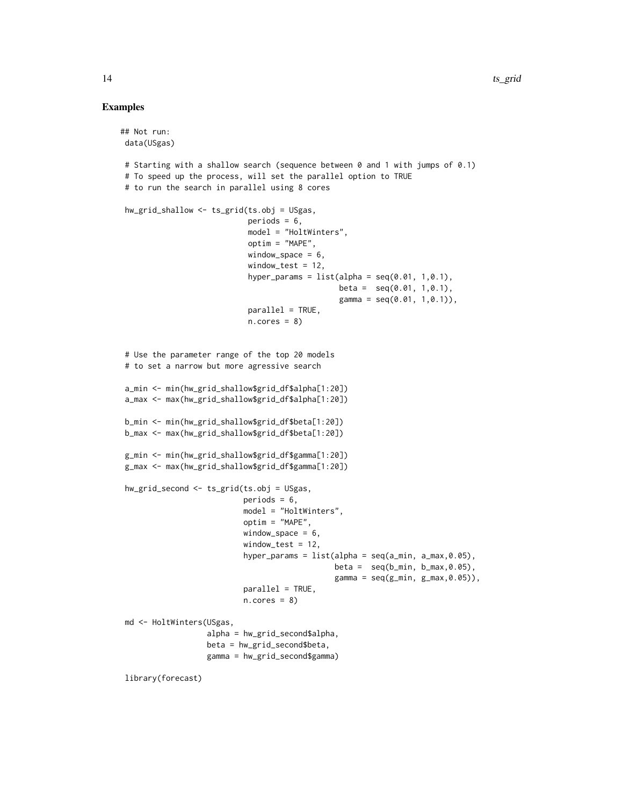#### Examples

```
## Not run:
data(USgas)
 # Starting with a shallow search (sequence between 0 and 1 with jumps of 0.1)
# To speed up the process, will set the parallel option to TRUE
 # to run the search in parallel using 8 cores
hw_grid_shallow <- ts_grid(ts.obj = USgas,
                            periods = 6,
                            model = "HoltWinters",
                             optim = "MAPE",
                             window_space = 6,
                             window_test = 12,
                             hyper_params = list(alpha = seq(0.01, 1, 0.1)),
                                                 beta = seq(0.01, 1, 0.1),gamma = seq(0.01, 1, 0.1)),parallel = TRUE,
                             n.core<sub>s</sub> = 8)# Use the parameter range of the top 20 models
 # to set a narrow but more agressive search
 a_min <- min(hw_grid_shallow$grid_df$alpha[1:20])
 a_max <- max(hw_grid_shallow$grid_df$alpha[1:20])
 b_min <- min(hw_grid_shallow$grid_df$beta[1:20])
 b_max <- max(hw_grid_shallow$grid_df$beta[1:20])
g_min <- min(hw_grid_shallow$grid_df$gamma[1:20])
g_max <- max(hw_grid_shallow$grid_df$gamma[1:20])
 hw_grid_second <- ts_grid(ts.obj = USgas,
                           periods = 6,
                           model = "HoltWinters",
                           optim = "MAPE",
                           window_space = 6,
                           window_test = 12,
                           hyper_params = list(alpha = seq(a-min, a_max, 0.05),
                                                beta = seq(b_{min}, b_{max}, 0.05),
                                                gamma = seq(g_{min}, g_{max}, 0.05),
                           parallel = TRUE,
                           n.core<sub>s</sub> = 8)md <- HoltWinters(USgas,
                   alpha = hw_grid_second$alpha,
                   beta = hw_grid_second$beta,
                   gamma = hw_grid_second$gamma)
```
library(forecast)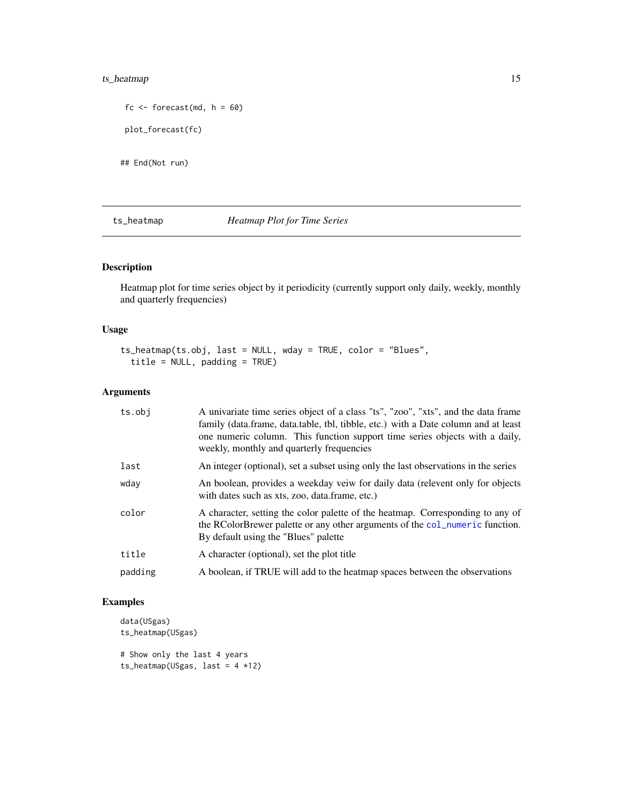# <span id="page-14-0"></span>ts\_heatmap 15

```
fc \leq forecast(md, h = 60)
plot_forecast(fc)
## End(Not run)
```
# ts\_heatmap *Heatmap Plot for Time Series*

# Description

Heatmap plot for time series object by it periodicity (currently support only daily, weekly, monthly and quarterly frequencies)

# Usage

```
ts_heatmap(ts.obj, last = NULL, wday = TRUE, color = "Blues",
  title = NULL, padding = TRUE)
```
#### Arguments

| ts.obi  | A univariate time series object of a class "ts", "zoo", "xts", and the data frame<br>family (data.frame, data.table, tbl, tibble, etc.) with a Date column and at least<br>one numeric column. This function support time series objects with a daily,<br>weekly, monthly and quarterly frequencies |
|---------|-----------------------------------------------------------------------------------------------------------------------------------------------------------------------------------------------------------------------------------------------------------------------------------------------------|
| last    | An integer (optional), set a subset using only the last observations in the series                                                                                                                                                                                                                  |
| wday    | An boolean, provides a weekday veiw for daily data (relevent only for objects<br>with dates such as xts, zoo, data.frame, etc.)                                                                                                                                                                     |
| color   | A character, setting the color palette of the heatmap. Corresponding to any of<br>the RColorBrewer palette or any other arguments of the col_numeric function.<br>By default using the "Blues" palette                                                                                              |
| title   | A character (optional), set the plot title                                                                                                                                                                                                                                                          |
| padding | A boolean, if TRUE will add to the heatmap spaces between the observations                                                                                                                                                                                                                          |

# Examples

```
data(USgas)
ts_heatmap(USgas)
```
# Show only the last 4 years ts\_heatmap(USgas, last = 4 \*12)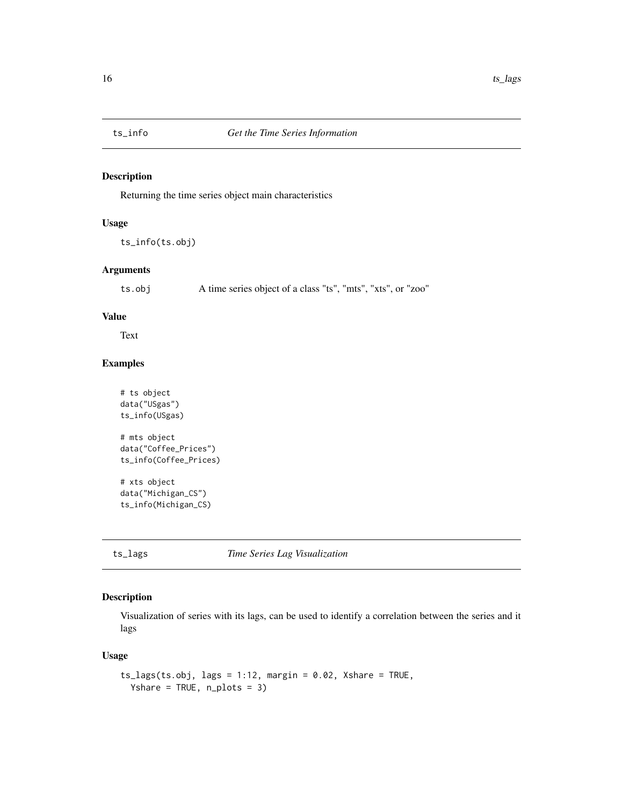<span id="page-15-0"></span>

# Description

Returning the time series object main characteristics

#### Usage

ts\_info(ts.obj)

#### Arguments

ts.obj A time series object of a class "ts", "mts", "xts", or "zoo"

#### Value

Text

# Examples

```
# ts object
data("USgas")
ts_info(USgas)
# mts object
data("Coffee_Prices")
ts_info(Coffee_Prices)
```
# xts object data("Michigan\_CS") ts\_info(Michigan\_CS)

# ts\_lags *Time Series Lag Visualization*

# Description

Visualization of series with its lags, can be used to identify a correlation between the series and it lags

#### Usage

```
ts\_{lags}(ts.obj, lags = 1:12, margin = 0.02, Xshare = TRUE,Yshare = TRUE, n_plots = 3)
```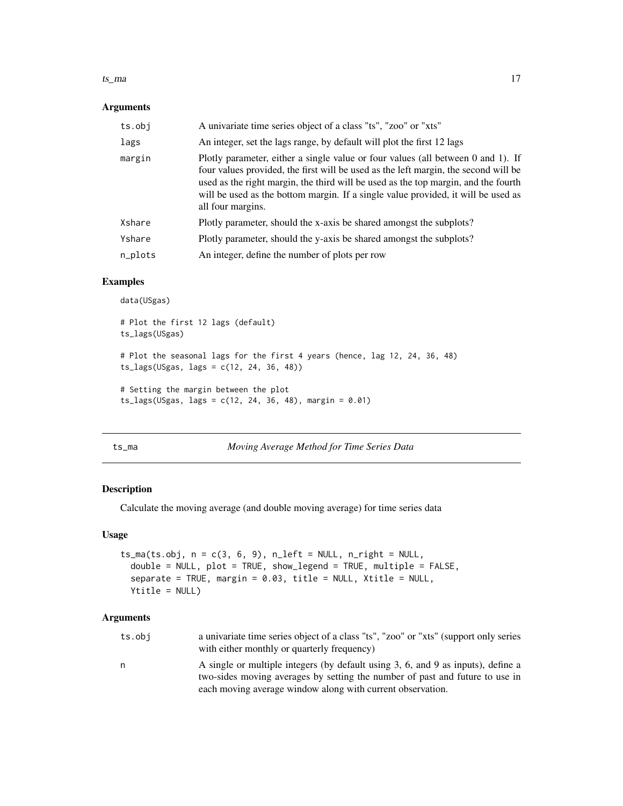#### <span id="page-16-0"></span> $ts\_ma$  17

#### Arguments

| ts.obj  | A univariate time series object of a class "ts", "zoo" or "xts"                                                                                                                                                                                                                                                                                                         |
|---------|-------------------------------------------------------------------------------------------------------------------------------------------------------------------------------------------------------------------------------------------------------------------------------------------------------------------------------------------------------------------------|
| lags    | An integer, set the lags range, by default will plot the first 12 lags                                                                                                                                                                                                                                                                                                  |
| margin  | Plotly parameter, either a single value or four values (all between 0 and 1). If<br>four values provided, the first will be used as the left margin, the second will be<br>used as the right margin, the third will be used as the top margin, and the fourth<br>will be used as the bottom margin. If a single value provided, it will be used as<br>all four margins. |
| Xshare  | Plotly parameter, should the x-axis be shared amongst the subplots?                                                                                                                                                                                                                                                                                                     |
| Yshare  | Plotly parameter, should the y-axis be shared amongst the subplots?                                                                                                                                                                                                                                                                                                     |
| n_plots | An integer, define the number of plots per row                                                                                                                                                                                                                                                                                                                          |

#### Examples

```
data(USgas)
```

```
# Plot the first 12 lags (default)
ts_lags(USgas)
# Plot the seasonal lags for the first 4 years (hence, lag 12, 24, 36, 48)
ts_lags(USgas, lags = c(12, 24, 36, 48))
# Setting the margin between the plot
ts_lags(USgas, lags = c(12, 24, 36, 48), margin = 0.01)
```

|--|--|

**Moving Average Method for Time Series Data** 

#### Description

Calculate the moving average (and double moving average) for time series data

#### Usage

```
ts_m (ts.obj, n = c(3, 6, 9), n_l = m, n_l = m, n_l = m,double = NULL, plot = TRUE, show_legend = TRUE, multiple = FALSE,
  separate = TRUE, margin = 0.03, title = NULL, Xtitle = NULL,
 Ytitle = NULL)
```
#### Arguments

| ts.obi | a univariate time series object of a class "ts", "zoo" or "xts" (support only series |
|--------|--------------------------------------------------------------------------------------|
|        | with either monthly or quarterly frequency)                                          |
| n      | A single or multiple integers (by default using 3, 6, and 9 as inputs), define a     |
|        | two-sides moving averages by setting the number of past and future to use in         |
|        | each moving average window along with current observation.                           |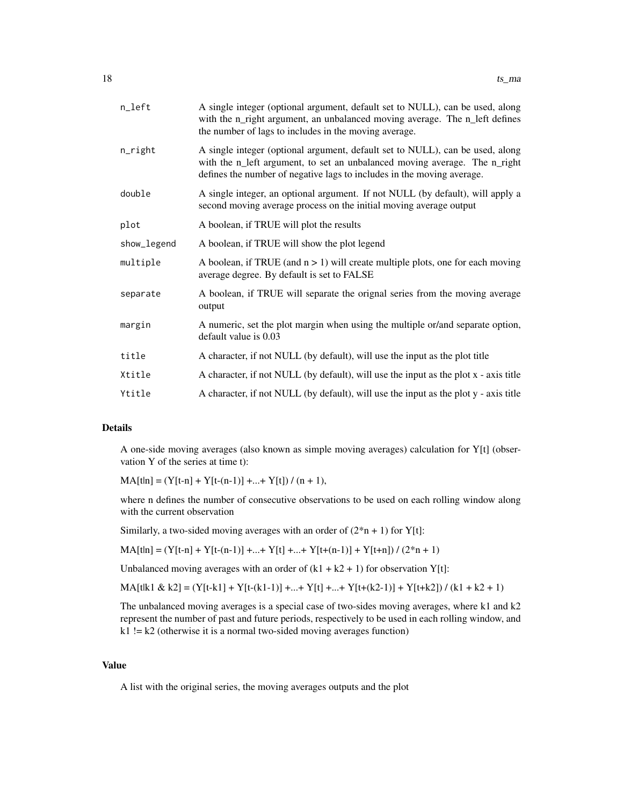| n_left      | A single integer (optional argument, default set to NULL), can be used, along<br>with the n_right argument, an unbalanced moving average. The n_left defines<br>the number of lags to includes in the moving average.                 |
|-------------|---------------------------------------------------------------------------------------------------------------------------------------------------------------------------------------------------------------------------------------|
| $n$ _right  | A single integer (optional argument, default set to NULL), can be used, along<br>with the n_left argument, to set an unbalanced moving average. The n_right<br>defines the number of negative lags to includes in the moving average. |
| double      | A single integer, an optional argument. If not NULL (by default), will apply a<br>second moving average process on the initial moving average output                                                                                  |
| plot        | A boolean, if TRUE will plot the results                                                                                                                                                                                              |
| show_legend | A boolean, if TRUE will show the plot legend                                                                                                                                                                                          |
| multiple    | A boolean, if TRUE (and $n > 1$ ) will create multiple plots, one for each moving<br>average degree. By default is set to FALSE                                                                                                       |
| separate    | A boolean, if TRUE will separate the orignal series from the moving average<br>output                                                                                                                                                 |
| margin      | A numeric, set the plot margin when using the multiple or/and separate option,<br>default value is 0.03                                                                                                                               |
| title       | A character, if not NULL (by default), will use the input as the plot title                                                                                                                                                           |
| Xtitle      | A character, if not NULL (by default), will use the input as the plot x - axis title                                                                                                                                                  |
| Ytitle      | A character, if not NULL (by default), will use the input as the plot y - axis title                                                                                                                                                  |

#### Details

A one-side moving averages (also known as simple moving averages) calculation for Y[t] (observation Y of the series at time t):

 $MA[t|n] = (Y[t-n] + Y[t-(n-1)] + ... + Y[t]) / (n + 1),$ 

where n defines the number of consecutive observations to be used on each rolling window along with the current observation

Similarly, a two-sided moving averages with an order of  $(2*n + 1)$  for Y[t]:

$$
MA[t[n] = (Y[t-n] + Y[t-(n-1)] + ... + Y[t] + ... + Y[t+(n-1)] + Y[t+n]) / (2*n+1)
$$

Unbalanced moving averages with an order of  $(k1 + k2 + 1)$  for observation Y[t]:

 $MA[t|k1 & 2k] = (Y[t-k1] + Y[t-(k1-1)] + ... + Y[t] + ... + Y[t+(k2-1)] + Y[t+k2]) / (k1 + k2 + 1)$ 

The unbalanced moving averages is a special case of two-sides moving averages, where k1 and k2 represent the number of past and future periods, respectively to be used in each rolling window, and  $k1$  !=  $k2$  (otherwise it is a normal two-sided moving averages function)

#### Value

A list with the original series, the moving averages outputs and the plot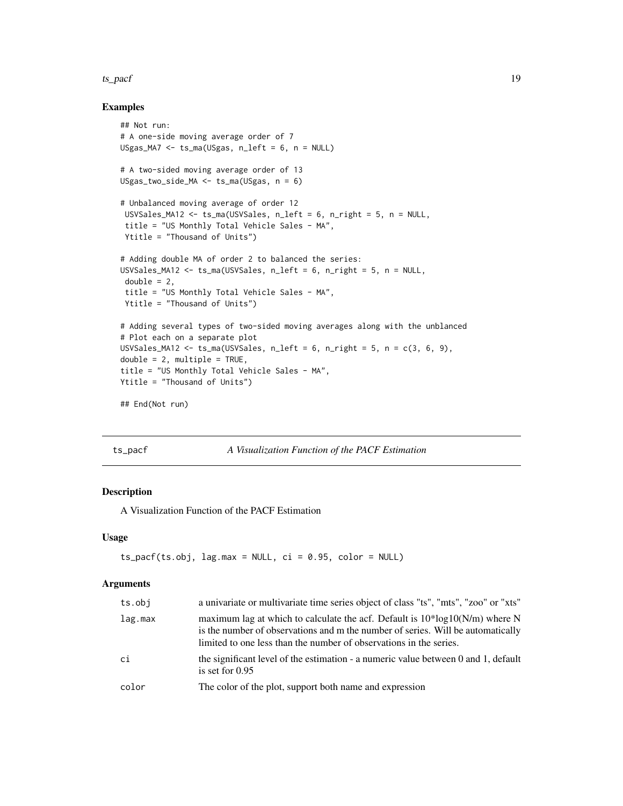#### <span id="page-18-0"></span>ts\_pacf 19

#### Examples

```
## Not run:
# A one-side moving average order of 7
USgas_MA7 <- ts_ma(USgas, n_left = 6, n = NULL)
# A two-sided moving average order of 13
USgas_two_side_MA <- ts_ma(USgas, n = 6)
# Unbalanced moving average of order 12
USVSales_MA12 <- ts_ma(USVSales, n_left = 6, n_right = 5, n = NULL,
 title = "US Monthly Total Vehicle Sales - MA",
 Ytitle = "Thousand of Units")
# Adding double MA of order 2 to balanced the series:
USVSales_MA12 <- ts_ma(USVSales, n_left = 6, n_right = 5, n = NULL,
double = 2,title = "US Monthly Total Vehicle Sales - MA",
Ytitle = "Thousand of Units")
# Adding several types of two-sided moving averages along with the unblanced
# Plot each on a separate plot
USVSales_MA12 <- ts_ma(USVSales, n_left = 6, n_right = 5, n = c(3, 6, 9),
double = 2, multiple = TRUE,
title = "US Monthly Total Vehicle Sales - MA",
Ytitle = "Thousand of Units")
## End(Not run)
```
#### ts\_pacf *A Visualization Function of the PACF Estimation*

#### Description

A Visualization Function of the PACF Estimation

#### Usage

```
ts_pacf(ts.obj, lag.max = NULL, ci = 0.95, color = NULL)
```
# Arguments

| ts.obj  | a univariate or multivariate time series object of class "ts", "mts", "zoo" or "xts"                                                                                                                                                   |
|---------|----------------------------------------------------------------------------------------------------------------------------------------------------------------------------------------------------------------------------------------|
| lag.max | maximum lag at which to calculate the acf. Default is $10*log10(N/m)$ where N<br>is the number of observations and m the number of series. Will be automatically<br>limited to one less than the number of observations in the series. |
| ci      | the significant level of the estimation - a numeric value between 0 and 1, default<br>is set for $0.95$                                                                                                                                |
| color   | The color of the plot, support both name and expression                                                                                                                                                                                |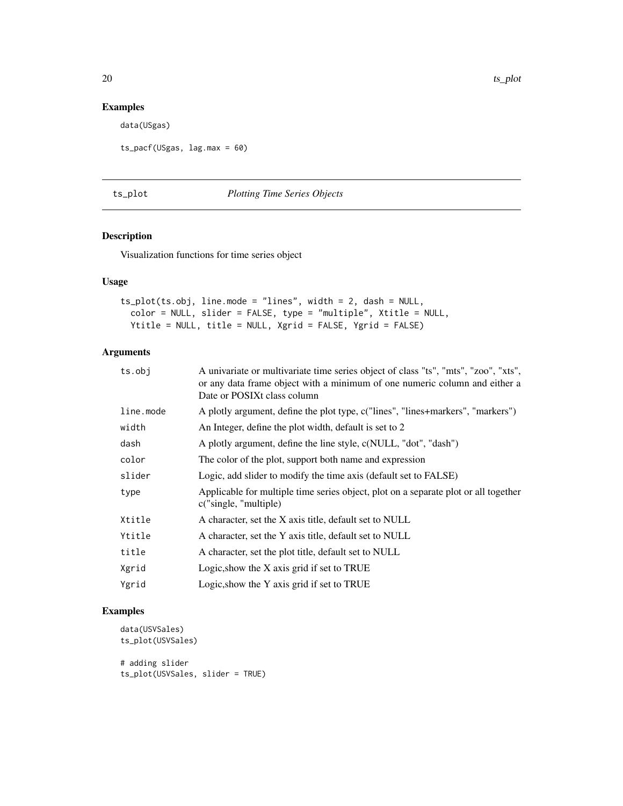#### Examples

data(USgas)

```
ts_pacf(USgas, lag.max = 60)
```
#### ts\_plot *Plotting Time Series Objects*

#### Description

Visualization functions for time series object

#### Usage

```
ts_plot(ts.obj, line.mode = "lines", width = 2, dash = NULL,
 color = NULL, slider = FALSE, type = "multiple", Xtitle = NULL,
 Ytitle = NULL, title = NULL, Xgrid = FALSE, Ygrid = FALSE)
```
# Arguments

| ts.obi    | A univariate or multivariate time series object of class "ts", "mts", "zoo", "xts",<br>or any data frame object with a minimum of one numeric column and either a<br>Date or POSIXt class column |
|-----------|--------------------------------------------------------------------------------------------------------------------------------------------------------------------------------------------------|
| line.mode | A plotly argument, define the plot type, c("lines", "lines+markers", "markers")                                                                                                                  |
| width     | An Integer, define the plot width, default is set to 2                                                                                                                                           |
| dash      | A plotly argument, define the line style, c(NULL, "dot", "dash")                                                                                                                                 |
| color     | The color of the plot, support both name and expression                                                                                                                                          |
| slider    | Logic, add slider to modify the time axis (default set to FALSE)                                                                                                                                 |
| type      | Applicable for multiple time series object, plot on a separate plot or all together<br>c("single, "multiple)                                                                                     |
| Xtitle    | A character, set the X axis title, default set to NULL                                                                                                                                           |
| Ytitle    | A character, set the Y axis title, default set to NULL                                                                                                                                           |
| title     | A character, set the plot title, default set to NULL                                                                                                                                             |
| Xgrid     | Logic, show the X axis grid if set to TRUE                                                                                                                                                       |
| Ygrid     | Logic, show the Y axis grid if set to TRUE                                                                                                                                                       |
|           |                                                                                                                                                                                                  |

# Examples

```
data(USVSales)
ts_plot(USVSales)
```

```
# adding slider
ts_plot(USVSales, slider = TRUE)
```
<span id="page-19-0"></span>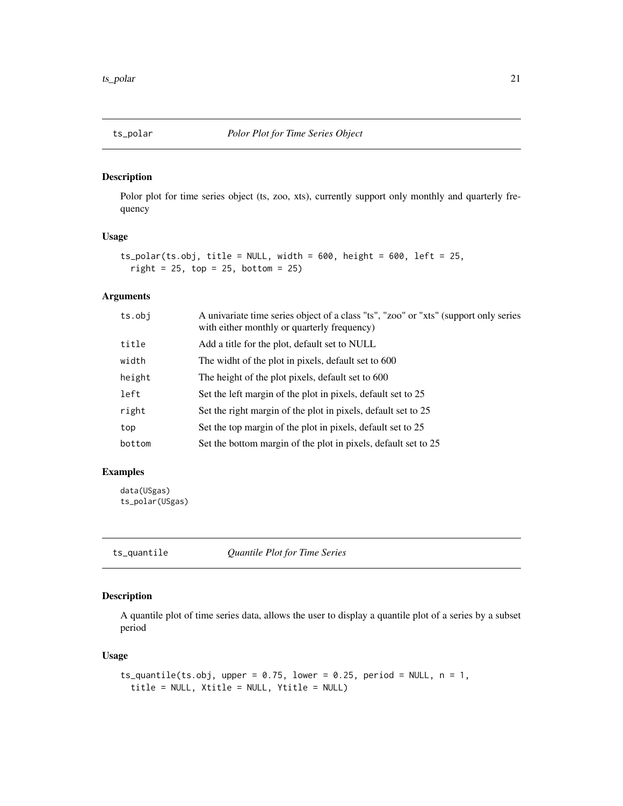<span id="page-20-0"></span>

#### Description

Polor plot for time series object (ts, zoo, xts), currently support only monthly and quarterly frequency

# Usage

```
ts_polar(ts.obj, title = NULL, width = 600, height = 600, left = 25,
  right = 25, top = 25, bottom = 25)
```
# Arguments

| ts.obj | A univariate time series object of a class "ts", "zoo" or "xts" (support only series<br>with either monthly or quarterly frequency) |
|--------|-------------------------------------------------------------------------------------------------------------------------------------|
| title  | Add a title for the plot, default set to NULL                                                                                       |
| width  | The widht of the plot in pixels, default set to 600                                                                                 |
| height | The height of the plot pixels, default set to 600                                                                                   |
| left   | Set the left margin of the plot in pixels, default set to 25                                                                        |
| right  | Set the right margin of the plot in pixels, default set to 25                                                                       |
| top    | Set the top margin of the plot in pixels, default set to 25                                                                         |
| bottom | Set the bottom margin of the plot in pixels, default set to 25                                                                      |

# Examples

data(USgas) ts\_polar(USgas)

ts\_quantile *Quantile Plot for Time Series*

# Description

A quantile plot of time series data, allows the user to display a quantile plot of a series by a subset period

#### Usage

```
ts_quantile(ts.obj, upper = 0.75, lower = 0.25, period = NULL, n = 1,
  title = NULL, Xtitle = NULL, Ytitle = NULL)
```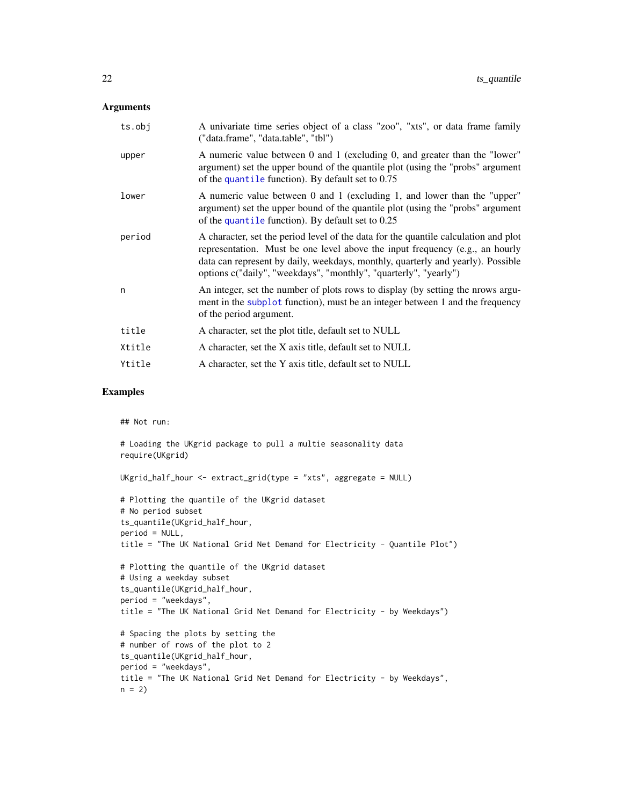#### <span id="page-21-0"></span>Arguments

| ts.obj | A univariate time series object of a class "zoo", "xts", or data frame family<br>("data.frame", "data.table", "tbl")                                                                                                                                                                                                       |
|--------|----------------------------------------------------------------------------------------------------------------------------------------------------------------------------------------------------------------------------------------------------------------------------------------------------------------------------|
| upper  | A numeric value between 0 and 1 (excluding 0, and greater than the "lower"<br>argument) set the upper bound of the quantile plot (using the "probs" argument<br>of the quantile function). By default set to $0.75$                                                                                                        |
| lower  | A numeric value between 0 and 1 (excluding 1, and lower than the "upper"<br>argument) set the upper bound of the quantile plot (using the "probs" argument<br>of the quantile function). By default set to 0.25                                                                                                            |
| period | A character, set the period level of the data for the quantile calculation and plot<br>representation. Must be one level above the input frequency (e.g., an hourly<br>data can represent by daily, weekdays, monthly, quarterly and yearly). Possible<br>options c("daily", "weekdays", "monthly", "quarterly", "yearly") |
| n      | An integer, set the number of plots rows to display (by setting the nrows argu-<br>ment in the subplot function), must be an integer between 1 and the frequency<br>of the period argument.                                                                                                                                |
| title  | A character, set the plot title, default set to NULL                                                                                                                                                                                                                                                                       |
| Xtitle | A character, set the X axis title, default set to NULL                                                                                                                                                                                                                                                                     |
| Ytitle | A character, set the Y axis title, default set to NULL                                                                                                                                                                                                                                                                     |
|        |                                                                                                                                                                                                                                                                                                                            |

#### Examples

## Not run:

```
# Loading the UKgrid package to pull a multie seasonality data
require(UKgrid)
UKgrid_half_hour <- extract_grid(type = "xts", aggregate = NULL)
# Plotting the quantile of the UKgrid dataset
# No period subset
ts_quantile(UKgrid_half_hour,
period = NULL,
title = "The UK National Grid Net Demand for Electricity - Quantile Plot")
# Plotting the quantile of the UKgrid dataset
# Using a weekday subset
ts_quantile(UKgrid_half_hour,
period = "weekdays",
title = "The UK National Grid Net Demand for Electricity - by Weekdays")
# Spacing the plots by setting the
# number of rows of the plot to 2
ts_quantile(UKgrid_half_hour,
period = "weekdays",
title = "The UK National Grid Net Demand for Electricity - by Weekdays",
n = 2
```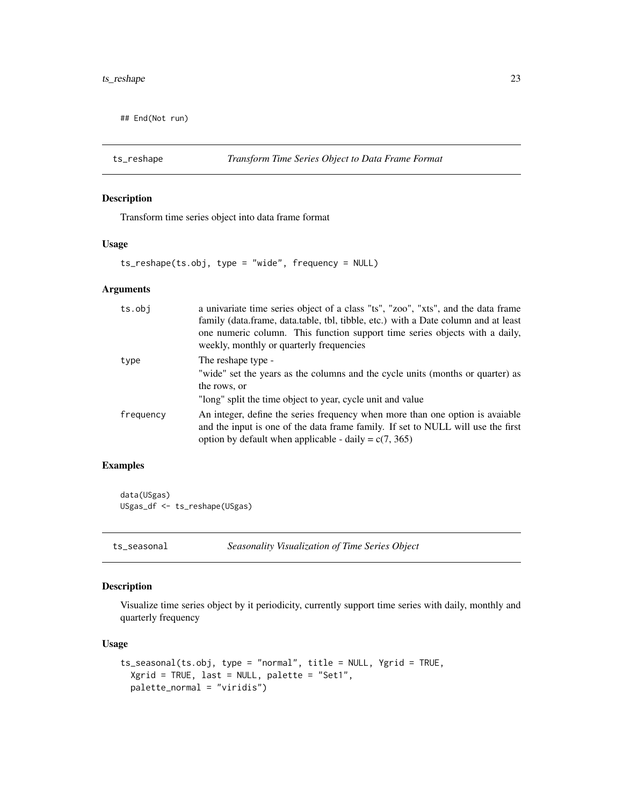<span id="page-22-0"></span>## End(Not run)

ts\_reshape *Transform Time Series Object to Data Frame Format*

#### Description

Transform time series object into data frame format

#### Usage

ts\_reshape(ts.obj, type = "wide", frequency = NULL)

#### Arguments

| ts.obj    | a univariate time series object of a class "ts", "zoo", "xts", and the data frame<br>family (data.frame, data.table, tbl, tibble, etc.) with a Date column and at least<br>one numeric column. This function support time series objects with a daily,<br>weekly, monthly or quarterly frequencies |
|-----------|----------------------------------------------------------------------------------------------------------------------------------------------------------------------------------------------------------------------------------------------------------------------------------------------------|
| type      | The reshape type -<br>"wide" set the years as the columns and the cycle units (months or quarter) as<br>the rows, or                                                                                                                                                                               |
|           | "long" split the time object to year, cycle unit and value                                                                                                                                                                                                                                         |
| frequency | An integer, define the series frequency when more than one option is avaiable<br>and the input is one of the data frame family. If set to NULL will use the first<br>option by default when applicable - daily = $c(7, 365)$                                                                       |

# Examples

data(USgas) USgas\_df <- ts\_reshape(USgas)

ts\_seasonal *Seasonality Visualization of Time Series Object*

# Description

Visualize time series object by it periodicity, currently support time series with daily, monthly and quarterly frequency

#### Usage

```
ts_seasonal(ts.obj, type = "normal", title = NULL, Ygrid = TRUE,
 Xgrid = TRUE, last = NULL, palette = "Set1",
 palette_normal = "viridis")
```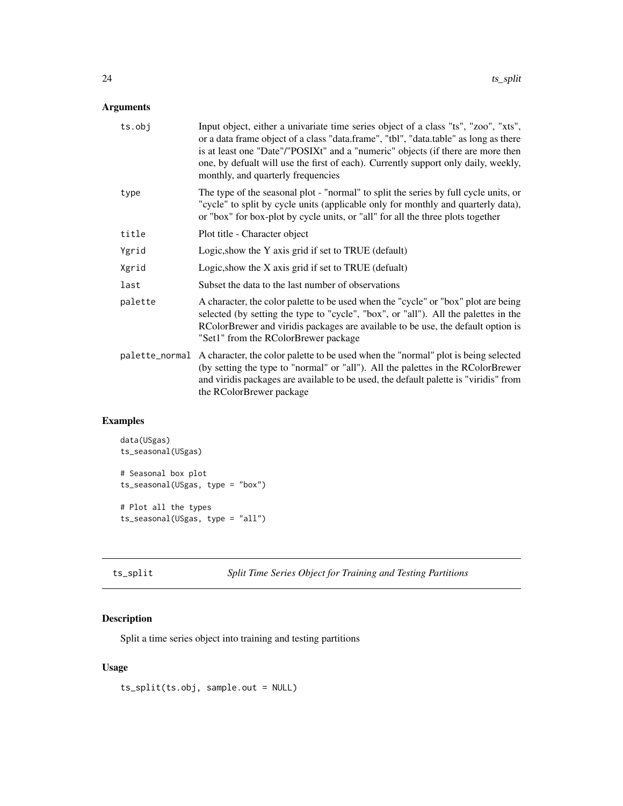# <span id="page-23-0"></span>Arguments

| ts.obj  | Input object, either a univariate time series object of a class "ts", "zoo", "xts",<br>or a data frame object of a class "data.frame", "tbl", "data.table" as long as there<br>is at least one "Date"/"POSIXt" and a "numeric" objects (if there are more then<br>one, by defualt will use the first of each). Currently support only daily, weekly,<br>monthly, and quarterly frequencies |
|---------|--------------------------------------------------------------------------------------------------------------------------------------------------------------------------------------------------------------------------------------------------------------------------------------------------------------------------------------------------------------------------------------------|
| type    | The type of the seasonal plot - "normal" to split the series by full cycle units, or<br>"cycle" to split by cycle units (applicable only for monthly and quarterly data),<br>or "box" for box-plot by cycle units, or "all" for all the three plots together                                                                                                                               |
| title   | Plot title - Character object                                                                                                                                                                                                                                                                                                                                                              |
| Ygrid   | Logic, show the Y axis grid if set to TRUE (default)                                                                                                                                                                                                                                                                                                                                       |
| Xgrid   | Logic, show the X axis grid if set to TRUE (defualt)                                                                                                                                                                                                                                                                                                                                       |
| last    | Subset the data to the last number of observations                                                                                                                                                                                                                                                                                                                                         |
| palette | A character, the color palette to be used when the "cycle" or "box" plot are being<br>selected (by setting the type to "cycle", "box", or "all"). All the palettes in the<br>RColorBrewer and viridis packages are available to be use, the default option is<br>"Set1" from the RColorBrewer package                                                                                      |
|         | palette_normal A character, the color palette to be used when the "normal" plot is being selected<br>(by setting the type to "normal" or "all"). All the palettes in the RColorBrewer<br>and viridis packages are available to be used, the default palette is "viridis" from<br>the RColorBrewer package                                                                                  |

# Examples

```
data(USgas)
ts_seasonal(USgas)
# Seasonal box plot
ts_seasonal(USgas, type = "box")
# Plot all the types
ts_seasonal(USgas, type = "all")
```

```
ts_split Split Time Series Object for Training and Testing Partitions
```
# Description

Split a time series object into training and testing partitions

# Usage

ts\_split(ts.obj, sample.out = NULL)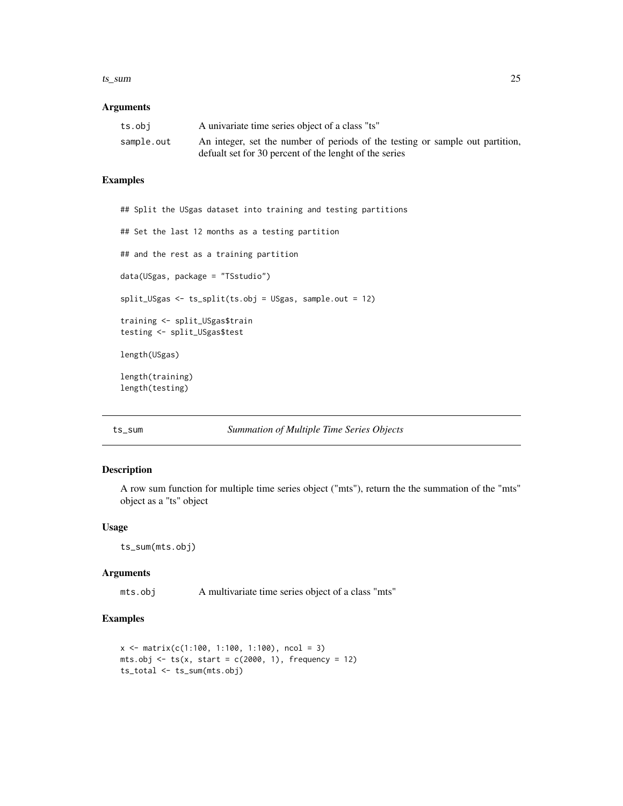#### <span id="page-24-0"></span> $ts\_sum$  25

#### **Arguments**

| ts.obi     | A univariate time series object of a class "ts"                               |
|------------|-------------------------------------------------------------------------------|
| sample.out | An integer, set the number of periods of the testing or sample out partition, |
|            | defualt set for 30 percent of the lenght of the series                        |

# Examples

## Split the USgas dataset into training and testing partitions ## Set the last 12 months as a testing partition ## and the rest as a training partition data(USgas, package = "TSstudio") split\_USgas <- ts\_split(ts.obj = USgas, sample.out = 12) training <- split\_USgas\$train testing <- split\_USgas\$test length(USgas) length(training) length(testing)

#### ts\_sum *Summation of Multiple Time Series Objects*

#### Description

A row sum function for multiple time series object ("mts"), return the the summation of the "mts" object as a "ts" object

#### Usage

ts\_sum(mts.obj)

#### Arguments

mts.obj A multivariate time series object of a class "mts"

# Examples

```
x \le matrix(c(1:100, 1:100, 1:100), ncol = 3)
mts.obj \le ts(x, start = c(2000, 1), frequency = 12)
ts_total <- ts_sum(mts.obj)
```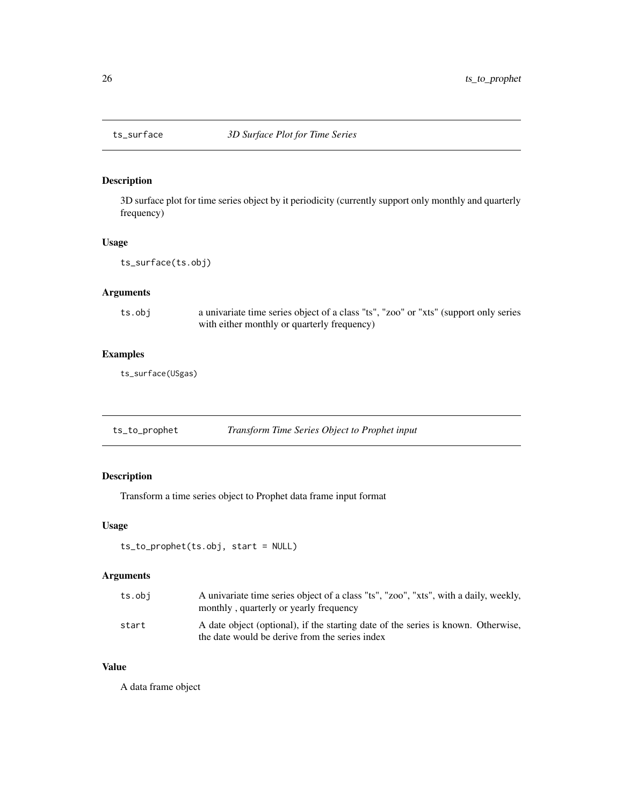<span id="page-25-0"></span>

#### Description

3D surface plot for time series object by it periodicity (currently support only monthly and quarterly frequency)

#### Usage

ts\_surface(ts.obj)

# Arguments

ts.obj a univariate time series object of a class "ts", "zoo" or "xts" (support only series with either monthly or quarterly frequency)

#### Examples

ts\_surface(USgas)

ts\_to\_prophet *Transform Time Series Object to Prophet input*

# Description

Transform a time series object to Prophet data frame input format

#### Usage

```
ts_to_prophet(ts.obj, start = NULL)
```
# Arguments

| ts.obj | A univariate time series object of a class "ts", "zoo", "xts", with a daily, weekly,<br>monthly, quarterly or yearly frequency      |
|--------|-------------------------------------------------------------------------------------------------------------------------------------|
| start  | A date object (optional), if the starting date of the series is known. Otherwise,<br>the date would be derive from the series index |

# Value

A data frame object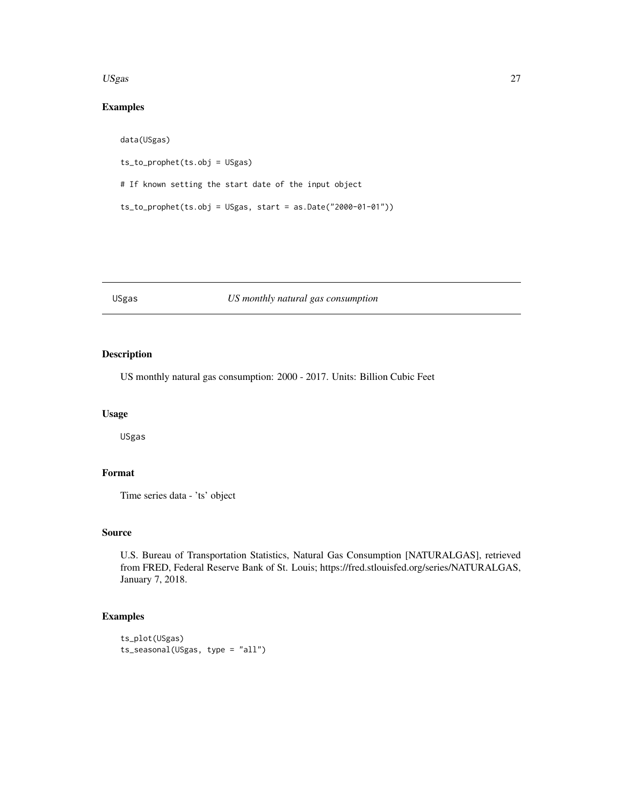#### <span id="page-26-0"></span>USgas 27

# Examples

```
data(USgas)
ts_to_prophet(ts.obj = USgas)
# If known setting the start date of the input object
ts_to_prophet(ts.obj = USgas, start = as.Date("2000-01-01"))
```
#### USgas *US monthly natural gas consumption*

#### Description

US monthly natural gas consumption: 2000 - 2017. Units: Billion Cubic Feet

# Usage

USgas

# Format

Time series data - 'ts' object

# Source

U.S. Bureau of Transportation Statistics, Natural Gas Consumption [NATURALGAS], retrieved from FRED, Federal Reserve Bank of St. Louis; https://fred.stlouisfed.org/series/NATURALGAS, January 7, 2018.

#### Examples

```
ts_plot(USgas)
ts_seasonal(USgas, type = "all")
```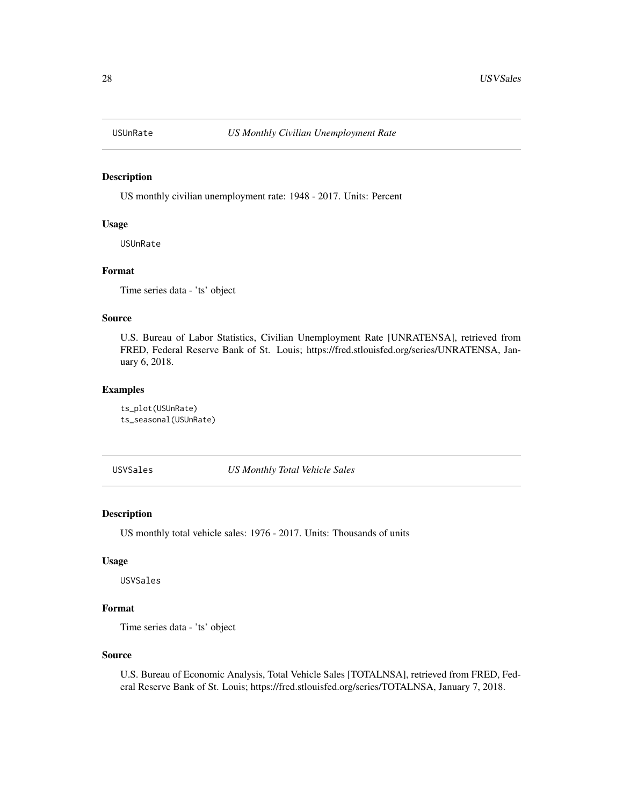<span id="page-27-0"></span>

#### Description

US monthly civilian unemployment rate: 1948 - 2017. Units: Percent

# Usage

USUnRate

#### Format

Time series data - 'ts' object

#### Source

U.S. Bureau of Labor Statistics, Civilian Unemployment Rate [UNRATENSA], retrieved from FRED, Federal Reserve Bank of St. Louis; https://fred.stlouisfed.org/series/UNRATENSA, January 6, 2018.

#### Examples

ts\_plot(USUnRate) ts\_seasonal(USUnRate)

USVSales *US Monthly Total Vehicle Sales*

# Description

US monthly total vehicle sales: 1976 - 2017. Units: Thousands of units

#### Usage

USVSales

# Format

Time series data - 'ts' object

#### Source

U.S. Bureau of Economic Analysis, Total Vehicle Sales [TOTALNSA], retrieved from FRED, Federal Reserve Bank of St. Louis; https://fred.stlouisfed.org/series/TOTALNSA, January 7, 2018.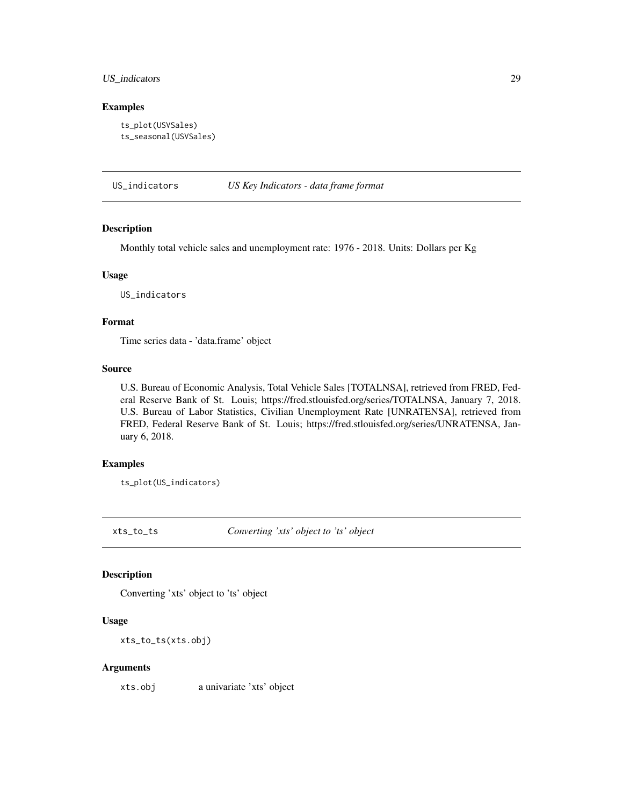#### <span id="page-28-0"></span>US\_indicators 29

#### Examples

```
ts_plot(USVSales)
ts_seasonal(USVSales)
```
US\_indicators *US Key Indicators - data frame format*

#### Description

Monthly total vehicle sales and unemployment rate: 1976 - 2018. Units: Dollars per Kg

#### Usage

US\_indicators

#### Format

Time series data - 'data.frame' object

#### Source

U.S. Bureau of Economic Analysis, Total Vehicle Sales [TOTALNSA], retrieved from FRED, Federal Reserve Bank of St. Louis; https://fred.stlouisfed.org/series/TOTALNSA, January 7, 2018. U.S. Bureau of Labor Statistics, Civilian Unemployment Rate [UNRATENSA], retrieved from FRED, Federal Reserve Bank of St. Louis; https://fred.stlouisfed.org/series/UNRATENSA, January 6, 2018.

# Examples

ts\_plot(US\_indicators)

xts\_to\_ts *Converting 'xts' object to 'ts' object*

#### Description

Converting 'xts' object to 'ts' object

# Usage

xts\_to\_ts(xts.obj)

#### Arguments

xts.obj a univariate 'xts' object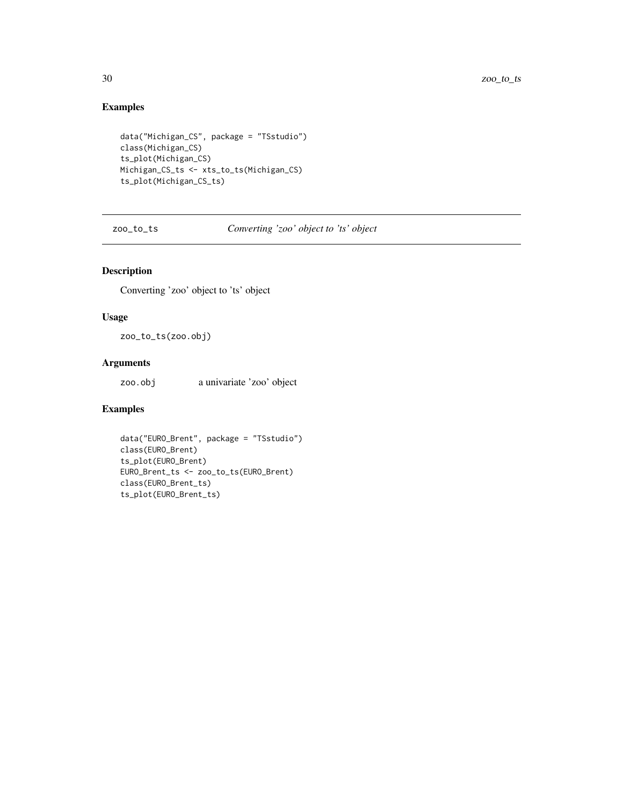# Examples

```
data("Michigan_CS", package = "TSstudio")
class(Michigan_CS)
ts_plot(Michigan_CS)
Michigan_CS_ts <- xts_to_ts(Michigan_CS)
ts_plot(Michigan_CS_ts)
```
zoo\_to\_ts *Converting 'zoo' object to 'ts' object*

#### Description

Converting 'zoo' object to 'ts' object

#### Usage

zoo\_to\_ts(zoo.obj)

# Arguments

zoo.obj a univariate 'zoo' object

# Examples

```
data("EURO_Brent", package = "TSstudio")
class(EURO_Brent)
ts_plot(EURO_Brent)
EURO_Brent_ts <- zoo_to_ts(EURO_Brent)
class(EURO_Brent_ts)
ts_plot(EURO_Brent_ts)
```
<span id="page-29-0"></span>